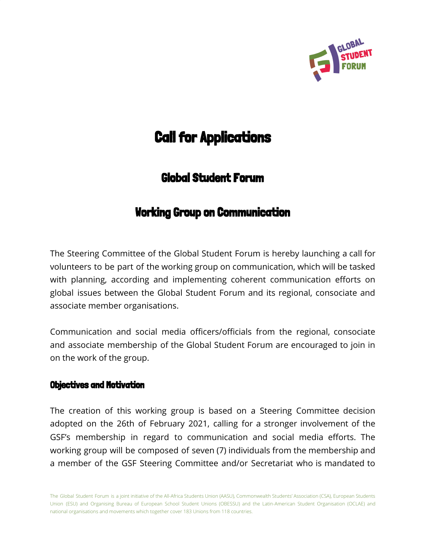

# Call for Applications

# Global Student Forum

# Working Group on Communication

The Steering Committee of the Global Student Forum is hereby launching a call for volunteers to be part of the working group on communication, which will be tasked with planning, according and implementing coherent communication efforts on global issues between the Global Student Forum and its regional, consociate and associate member organisations.

Communication and social media officers/officials from the regional, consociate and associate membership of the Global Student Forum are encouraged to join in on the work of the group.

#### Objectives and Motivation

The creation of this working group is based on a Steering Committee decision adopted on the 26th of February 2021, calling for a stronger involvement of the GSF's membership in regard to communication and social media efforts. The working group will be composed of seven (7) individuals from the membership and a member of the GSF Steering Committee and/or Secretariat who is mandated to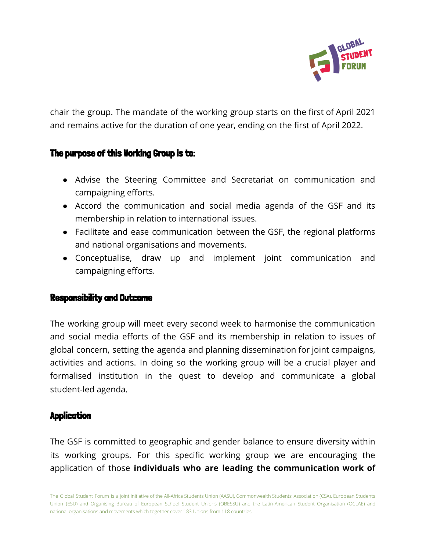

chair the group. The mandate of the working group starts on the first of April 2021 and remains active for the duration of one year, ending on the first of April 2022.

### The purpose of this Working Group is to:

- Advise the Steering Committee and Secretariat on communication and campaigning efforts.
- Accord the communication and social media agenda of the GSF and its membership in relation to international issues.
- Facilitate and ease communication between the GSF, the regional platforms and national organisations and movements.
- Conceptualise, draw up and implement joint communication and campaigning efforts.

#### Responsibility and Outcome

The working group will meet every second week to harmonise the communication and social media efforts of the GSF and its membership in relation to issues of global concern, setting the agenda and planning dissemination for joint campaigns, activities and actions. In doing so the working group will be a crucial player and formalised institution in the quest to develop and communicate a global student-led agenda.

#### **Application**

The GSF is committed to geographic and gender balance to ensure diversity within its working groups. For this specific working group we are encouraging the application of those **individuals who are leading the communication work of**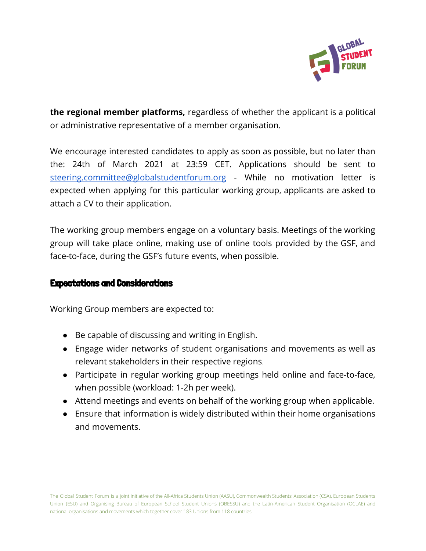

**the regional member platforms,** regardless of whether the applicant is a political or administrative representative of a member organisation.

We encourage interested candidates to apply as soon as possible, but no later than the: 24th of March 2021 at 23:59 CET. Applications should be sent to [steering.committee@globalstudentforum.org](mailto:steering.committee@globalstudentforum.org) - While no motivation letter is expected when applying for this particular working group, applicants are asked to attach a CV to their application.

The working group members engage on a voluntary basis. Meetings of the working group will take place online, making use of online tools provided by the GSF, and face-to-face, during the GSF's future events, when possible.

#### Expectations and Considerations

Working Group members are expected to:

- Be capable of discussing and writing in English.
- Engage wider networks of student organisations and movements as well as relevant stakeholders in their respective regions.
- Participate in regular working group meetings held online and face-to-face, when possible (workload: 1-2h per week).
- Attend meetings and events on behalf of the working group when applicable.
- Ensure that information is widely distributed within their home organisations and movements.